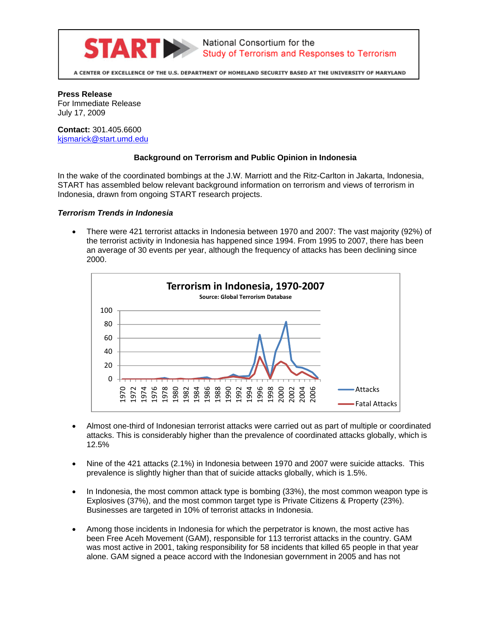

A CENTER OF EXCELLENCE OF THE U.S. DEPARTMENT OF HOMELAND SECURITY BASED AT THE UNIVERSITY OF MARYLAND

**Press Release** For Immediate Release July 17, 2009

**Contact:** 301.405.6600 kjsmarick@start.umd.edu

## **Background on Terrorism and Public Opinion in Indonesia**

In the wake of the coordinated bombings at the J.W. Marriott and the Ritz-Carlton in Jakarta, Indonesia, START has assembled below relevant background information on terrorism and views of terrorism in Indonesia, drawn from ongoing START research projects.

## *Terrorism Trends in Indonesia*

 There were 421 terrorist attacks in Indonesia between 1970 and 2007: The vast majority (92%) of the terrorist activity in Indonesia has happened since 1994. From 1995 to 2007, there has been an average of 30 events per year, although the frequency of attacks has been declining since 2000.



- Almost one-third of Indonesian terrorist attacks were carried out as part of multiple or coordinated attacks. This is considerably higher than the prevalence of coordinated attacks globally, which is 12.5%
- Nine of the 421 attacks (2.1%) in Indonesia between 1970 and 2007 were suicide attacks. This prevalence is slightly higher than that of suicide attacks globally, which is 1.5%.
- In Indonesia, the most common attack type is bombing (33%), the most common weapon type is Explosives (37%), and the most common target type is Private Citizens & Property (23%). Businesses are targeted in 10% of terrorist attacks in Indonesia.
- Among those incidents in Indonesia for which the perpetrator is known, the most active has been Free Aceh Movement (GAM), responsible for 113 terrorist attacks in the country. GAM was most active in 2001, taking responsibility for 58 incidents that killed 65 people in that year alone. GAM signed a peace accord with the Indonesian government in 2005 and has not